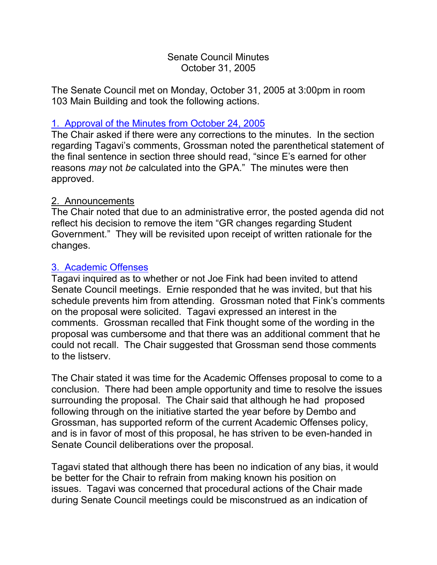## Senate Council Minutes October 31, 2005

The Senate Council met on Monday, October 31, 2005 at 3:00pm in room 103 Main Building and took the following actions.

## [1. Approval of the Minutes from October 24, 2005](http://www.uky.edu/USC/New/SCMinutes/SC%20Minutes%20October%2024,%202005%20FINAL.htm)

The Chair asked if there were any corrections to the minutes. In the section regarding Tagavi's comments, Grossman noted the parenthetical statement of the final sentence in section three should read, "since E's earned for other reasons *may* not *be* calculated into the GPA." The minutes were then approved.

## 2. Announcements

The Chair noted that due to an administrative error, the posted agenda did not reflect his decision to remove the item "GR changes regarding Student Government." They will be revisited upon receipt of written rationale for the changes.

## [3. Academic Offenses](http://www.chem.uky.edu/research/grossman/offensesproposals/prop_acad_offenses_SC_amended.pdf)

Tagavi inquired as to whether or not Joe Fink had been invited to attend Senate Council meetings. Ernie responded that he was invited, but that his schedule prevents him from attending. Grossman noted that Fink's comments on the proposal were solicited. Tagavi expressed an interest in the comments. Grossman recalled that Fink thought some of the wording in the proposal was cumbersome and that there was an additional comment that he could not recall. The Chair suggested that Grossman send those comments to the listserv.

The Chair stated it was time for the Academic Offenses proposal to come to a conclusion. There had been ample opportunity and time to resolve the issues surrounding the proposal. The Chair said that although he had proposed following through on the initiative started the year before by Dembo and Grossman, has supported reform of the current Academic Offenses policy, and is in favor of most of this proposal, he has striven to be even-handed in Senate Council deliberations over the proposal.

Tagavi stated that although there has been no indication of any bias, it would be better for the Chair to refrain from making known his position on issues. Tagavi was concerned that procedural actions of the Chair made during Senate Council meetings could be misconstrued as an indication of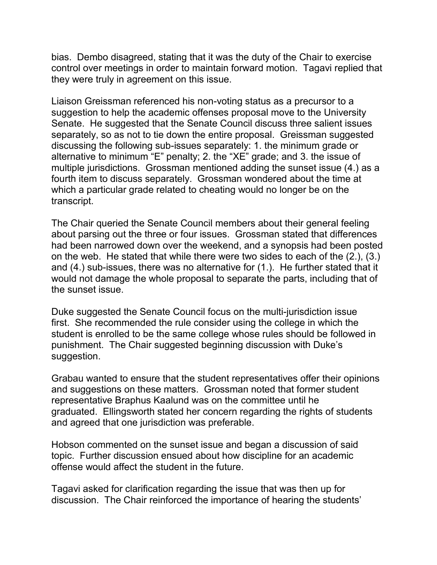bias. Dembo disagreed, stating that it was the duty of the Chair to exercise control over meetings in order to maintain forward motion. Tagavi replied that they were truly in agreement on this issue.

Liaison Greissman referenced his non-voting status as a precursor to a suggestion to help the academic offenses proposal move to the University Senate. He suggested that the Senate Council discuss three salient issues separately, so as not to tie down the entire proposal. Greissman suggested discussing the following sub-issues separately: 1. the minimum grade or alternative to minimum "E" penalty; 2. the "XE" grade; and 3. the issue of multiple jurisdictions. Grossman mentioned adding the sunset issue (4.) as a fourth item to discuss separately. Grossman wondered about the time at which a particular grade related to cheating would no longer be on the transcript.

The Chair queried the Senate Council members about their general feeling about parsing out the three or four issues. Grossman stated that differences had been narrowed down over the weekend, and a synopsis had been posted on the web. He stated that while there were two sides to each of the (2.), (3.) and (4.) sub-issues, there was no alternative for (1.). He further stated that it would not damage the whole proposal to separate the parts, including that of the sunset issue.

Duke suggested the Senate Council focus on the multi-jurisdiction issue first. She recommended the rule consider using the college in which the student is enrolled to be the same college whose rules should be followed in punishment. The Chair suggested beginning discussion with Duke's suggestion.

Grabau wanted to ensure that the student representatives offer their opinions and suggestions on these matters. Grossman noted that former student representative Braphus Kaalund was on the committee until he graduated. Ellingsworth stated her concern regarding the rights of students and agreed that one jurisdiction was preferable.

Hobson commented on the sunset issue and began a discussion of said topic. Further discussion ensued about how discipline for an academic offense would affect the student in the future.

Tagavi asked for clarification regarding the issue that was then up for discussion. The Chair reinforced the importance of hearing the students'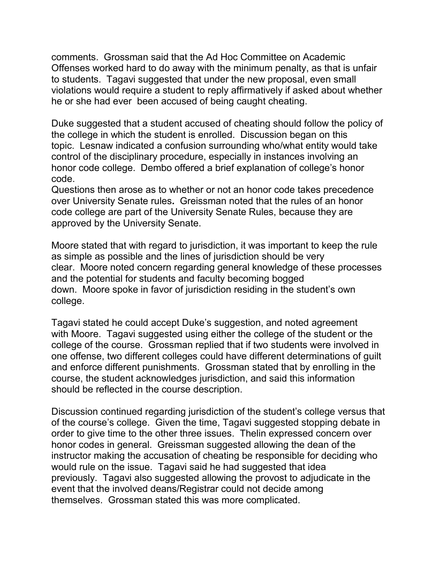comments. Grossman said that the Ad Hoc Committee on Academic Offenses worked hard to do away with the minimum penalty, as that is unfair to students. Tagavi suggested that under the new proposal, even small violations would require a student to reply affirmatively if asked about whether he or she had ever been accused of being caught cheating.

Duke suggested that a student accused of cheating should follow the policy of the college in which the student is enrolled. Discussion began on this topic. Lesnaw indicated a confusion surrounding who/what entity would take control of the disciplinary procedure, especially in instances involving an honor code college. Dembo offered a brief explanation of college's honor code.

Questions then arose as to whether or not an honor code takes precedence over University Senate rules**.** Greissman noted that the rules of an honor code college are part of the University Senate Rules, because they are approved by the University Senate.

Moore stated that with regard to jurisdiction, it was important to keep the rule as simple as possible and the lines of jurisdiction should be very clear. Moore noted concern regarding general knowledge of these processes and the potential for students and faculty becoming bogged down. Moore spoke in favor of jurisdiction residing in the student's own college.

Tagavi stated he could accept Duke's suggestion, and noted agreement with Moore. Tagavi suggested using either the college of the student or the college of the course. Grossman replied that if two students were involved in one offense, two different colleges could have different determinations of guilt and enforce different punishments. Grossman stated that by enrolling in the course, the student acknowledges jurisdiction, and said this information should be reflected in the course description.

Discussion continued regarding jurisdiction of the student's college versus that of the course's college. Given the time, Tagavi suggested stopping debate in order to give time to the other three issues. Thelin expressed concern over honor codes in general. Greissman suggested allowing the dean of the instructor making the accusation of cheating be responsible for deciding who would rule on the issue. Tagavi said he had suggested that idea previously. Tagavi also suggested allowing the provost to adjudicate in the event that the involved deans/Registrar could not decide among themselves. Grossman stated this was more complicated.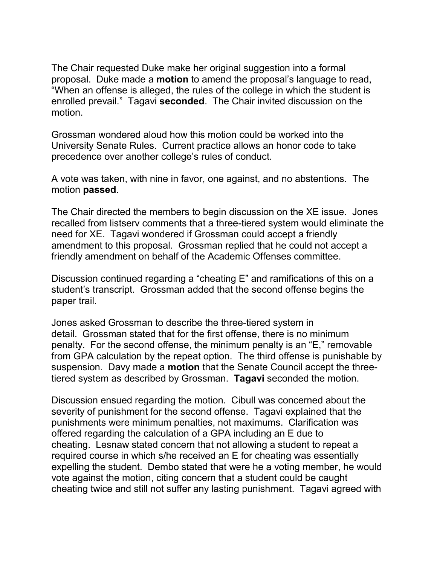The Chair requested Duke make her original suggestion into a formal proposal. Duke made a **motion** to amend the proposal's language to read, "When an offense is alleged, the rules of the college in which the student is enrolled prevail." Tagavi **seconded**. The Chair invited discussion on the motion.

Grossman wondered aloud how this motion could be worked into the University Senate Rules. Current practice allows an honor code to take precedence over another college's rules of conduct.

A vote was taken, with nine in favor, one against, and no abstentions. The motion **passed**.

The Chair directed the members to begin discussion on the XE issue. Jones recalled from listserv comments that a three-tiered system would eliminate the need for XE. Tagavi wondered if Grossman could accept a friendly amendment to this proposal. Grossman replied that he could not accept a friendly amendment on behalf of the Academic Offenses committee.

Discussion continued regarding a "cheating E" and ramifications of this on a student's transcript. Grossman added that the second offense begins the paper trail.

Jones asked Grossman to describe the three-tiered system in detail. Grossman stated that for the first offense, there is no minimum penalty. For the second offense, the minimum penalty is an "E," removable from GPA calculation by the repeat option. The third offense is punishable by suspension. Davy made a **motion** that the Senate Council accept the threetiered system as described by Grossman. **Tagavi** seconded the motion.

Discussion ensued regarding the motion. Cibull was concerned about the severity of punishment for the second offense. Tagavi explained that the punishments were minimum penalties, not maximums. Clarification was offered regarding the calculation of a GPA including an E due to cheating. Lesnaw stated concern that not allowing a student to repeat a required course in which s/he received an E for cheating was essentially expelling the student. Dembo stated that were he a voting member, he would vote against the motion, citing concern that a student could be caught cheating twice and still not suffer any lasting punishment. Tagavi agreed with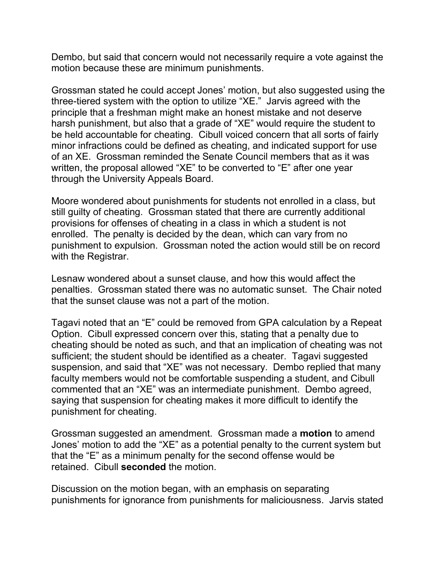Dembo, but said that concern would not necessarily require a vote against the motion because these are minimum punishments.

Grossman stated he could accept Jones' motion, but also suggested using the three-tiered system with the option to utilize "XE." Jarvis agreed with the principle that a freshman might make an honest mistake and not deserve harsh punishment, but also that a grade of "XE" would require the student to be held accountable for cheating. Cibull voiced concern that all sorts of fairly minor infractions could be defined as cheating, and indicated support for use of an XE. Grossman reminded the Senate Council members that as it was written, the proposal allowed "XE" to be converted to "E" after one year through the University Appeals Board.

Moore wondered about punishments for students not enrolled in a class, but still guilty of cheating. Grossman stated that there are currently additional provisions for offenses of cheating in a class in which a student is not enrolled. The penalty is decided by the dean, which can vary from no punishment to expulsion. Grossman noted the action would still be on record with the Registrar.

Lesnaw wondered about a sunset clause, and how this would affect the penalties. Grossman stated there was no automatic sunset. The Chair noted that the sunset clause was not a part of the motion.

Tagavi noted that an "E" could be removed from GPA calculation by a Repeat Option. Cibull expressed concern over this, stating that a penalty due to cheating should be noted as such, and that an implication of cheating was not sufficient; the student should be identified as a cheater. Tagavi suggested suspension, and said that "XE" was not necessary. Dembo replied that many faculty members would not be comfortable suspending a student, and Cibull commented that an "XE" was an intermediate punishment. Dembo agreed, saying that suspension for cheating makes it more difficult to identify the punishment for cheating.

Grossman suggested an amendment. Grossman made a **motion** to amend Jones' motion to add the "XE" as a potential penalty to the current system but that the "E" as a minimum penalty for the second offense would be retained. Cibull **seconded** the motion.

Discussion on the motion began, with an emphasis on separating punishments for ignorance from punishments for maliciousness. Jarvis stated